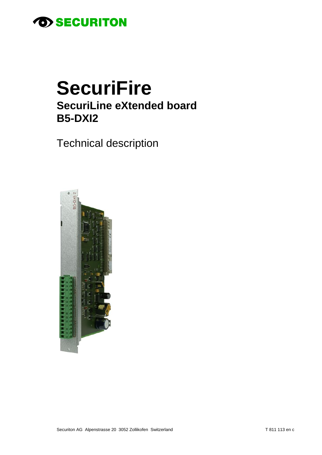

# **SecuriFire SecuriLine eXtended board B5-DXI2**

**Technical description** 

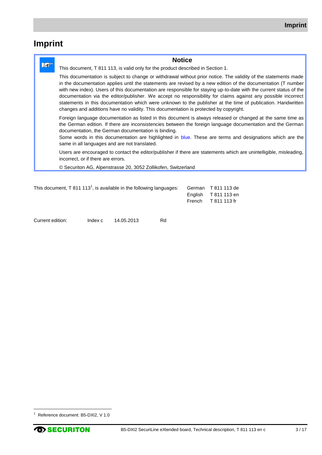# **Imprint**

|    | <b>Notice</b>                                                                                                                                                                                                                                                                                                                                                                                                                                                                                                                                                                                                                                                                    |
|----|----------------------------------------------------------------------------------------------------------------------------------------------------------------------------------------------------------------------------------------------------------------------------------------------------------------------------------------------------------------------------------------------------------------------------------------------------------------------------------------------------------------------------------------------------------------------------------------------------------------------------------------------------------------------------------|
| ୮୫ | This document, T 811 113, is valid only for the product described in Section 1.                                                                                                                                                                                                                                                                                                                                                                                                                                                                                                                                                                                                  |
|    | This documentation is subject to change or withdrawal without prior notice. The validity of the statements made<br>in the documentation applies until the statements are revised by a new edition of the documentation (T number<br>with new index). Users of this documentation are responsible for staying up-to-date with the current status of the<br>documentation via the editor/publisher. We accept no responsibility for claims against any possible incorrect<br>statements in this documentation which were unknown to the publisher at the time of publication. Handwritten<br>changes and additions have no validity. This documentation is protected by copyright. |
|    | Foreign language documentation as listed in this document is always released or changed at the same time as<br>the German edition. If there are inconsistencies between the foreign language documentation and the German<br>documentation, the German documentation is binding.<br>Some words in this documentation are highlighted in blue. These are terms and designations which are the<br>same in all languages and are not translated.                                                                                                                                                                                                                                    |
|    | Users are encouraged to contact the editor/publisher if there are statements which are unintelligible, misleading,<br>incorrect, or if there are errors.                                                                                                                                                                                                                                                                                                                                                                                                                                                                                                                         |
|    | © Securiton AG, Alpenstrasse 20, 3052 Zollikofen, Switzerland                                                                                                                                                                                                                                                                                                                                                                                                                                                                                                                                                                                                                    |

| This document, T 811 113 <sup>1</sup> , is available in the following languages: | German T 811 113 de        |  |
|----------------------------------------------------------------------------------|----------------------------|--|
|                                                                                  | English T 811 113 en       |  |
|                                                                                  | French $\sqrt{1811113}$ fr |  |
|                                                                                  |                            |  |

Current edition: Index c 14.05.2013 Rd

 $\overline{a}$ 

<sup>&</sup>lt;sup>1</sup> Reference document: B5-DXI2, V 1.0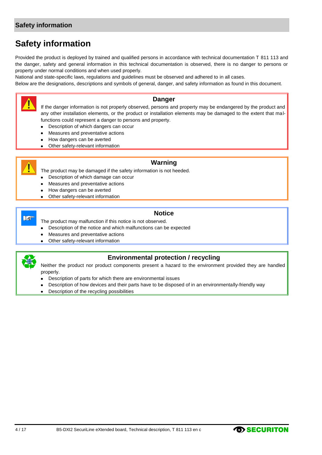# **Safety information**

# **Safety information**

Provided the product is deployed by trained and qualified persons in accordance with technical documentation T 811 113 and the danger, safety and general information in this technical documentation is observed, there is no danger to persons or property under normal conditions and when used properly.

National and state-specific laws, regulations and guidelines must be observed and adhered to in all cases.

Below are the designations, descriptions and symbols of general, danger, and safety information as found in this document.



### **Danger**

If the danger information is not properly observed, persons and property may be endangered by the product and any other installation elements, or the product or installation elements may be damaged to the extent that malfunctions could represent a danger to persons and property.

- Description of which dangers can occur  $\bullet$
- Measures and preventative actions
- How dangers can be averted
- Other safety-relevant information  $\bullet$



### **Warning**

The product may be damaged if the safety information is not heeded.

- Description of which damage can occur
- Measures and preventative actions
- How dangers can be averted
- Other safety-relevant information



#### **Notice**

The product may malfunction if this notice is not observed.

- Description of the notice and which malfunctions can be expected  $\bullet$
- Measures and preventative actions
- Other safety-relevant information



### **Environmental protection / recycling**

Neither the product nor product components present a hazard to the environment provided they are handled properly.

- Description of parts for which there are environmental issues
- Description of how devices and their parts have to be disposed of in an environmentally-friendly way
- Description of the recycling possibilities $\bullet$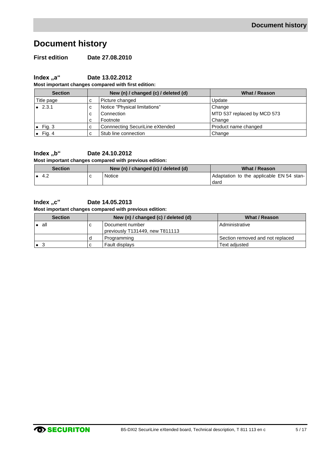# **Document history**

**First edition Date 27.08.2010**

**Index ,,a"** Date 13.02.2012

**Most important changes compared with first edition:**

| <b>Section</b>  | New (n) / changed (c) / deleted (d) |                                 | What / Reason               |
|-----------------|-------------------------------------|---------------------------------|-----------------------------|
| Title page      | ⌒<br>Ü                              | Picture changed                 | Update                      |
| $\bullet$ 2.3.1 | с                                   | Notice "Physical limitations"   | Change                      |
|                 | с                                   | Connection                      | MTD 537 replaced by MCD 573 |
|                 | с                                   | Footnote                        | Change                      |
| Fig. 3          | c                                   | Connnecting SecuriLine eXtended | Product name changed        |
| Fig. 4          | ⌒                                   | Stub line connection            | Change                      |

# **Index "b" Date 24.10.2012**

**Most important changes compared with previous edition:**

| <b>Section</b> | New (n) / changed (c) / deleted (d) |        | What / Reason                            |
|----------------|-------------------------------------|--------|------------------------------------------|
| 4.2            |                                     | Notice | Adaptation to the applicable EN 54 stan- |
|                |                                     |        | dard                                     |

#### **Index "c" Date 14.05.2013**

#### **Most important changes compared with previous edition:**

| <b>Section</b> | New (n) / changed (c) / deleted (d) | What / Reason                    |
|----------------|-------------------------------------|----------------------------------|
| all            | Document number                     | Administrative                   |
|                | previously T131449, new T811113     |                                  |
|                | Programming                         | Section removed and not replaced |
|                | <b>Fault displays</b>               | Text adiusted                    |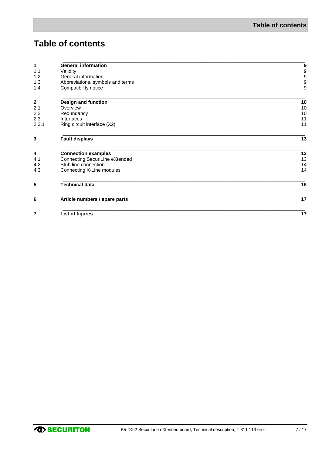# **Table of contents**

| 1<br>1.1         | <b>General information</b>       | 9                                     |
|------------------|----------------------------------|---------------------------------------|
| 1.2              | Validity<br>General information  | $\begin{array}{c} 9 \\ 9 \end{array}$ |
| 1.3              | Abbreviations, symbols and terms | $\overline{9}$                        |
| 1.4              | Compatibility notice             | 9                                     |
|                  |                                  |                                       |
| $\boldsymbol{2}$ | <b>Design and function</b>       | 10                                    |
| 2.1              | Overview                         | 10                                    |
| 2.2              | Redundancy                       | 10                                    |
| 2.3              | Interfaces                       | 11                                    |
| 2.3.1            | Ring circuit interface (X2)      | 11                                    |
| 3                | <b>Fault displays</b>            | 13                                    |
| 4                | <b>Connection examples</b>       | 13                                    |
| 4.1              | Connecting SecuriLine eXtended   | 13                                    |
| 4.2              | Stub line connection             | 14                                    |
| 4.3              | Connecting X-Line modules        | 14                                    |
| 5                | <b>Technical data</b>            | 16                                    |
| 6                | Article numbers / spare parts    | 17                                    |
| 7                | List of figures                  | 17                                    |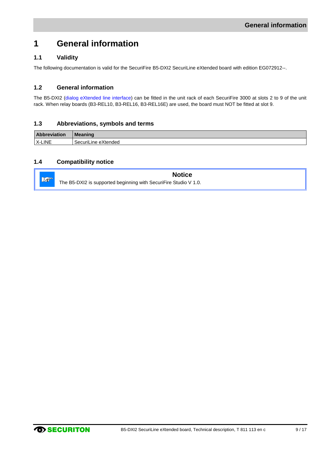# <span id="page-8-0"></span>**1 General information**

# <span id="page-8-1"></span>**1.1 Validity**

The following documentation is valid for the SecuriFire B5-DXI2 SecuriLine eXtended board with edition EG072912--.

### <span id="page-8-2"></span>**1.2 General information**

The B5-DXI2 (dialog eXtended line interface) can be fitted in the unit rack of each SecuriFire 3000 at slots 2 to 9 of the unit rack. When relay boards (B3-REL10, B3-REL16, B3-REL16E) are used, the board must NOT be fitted at slot 9.

### <span id="page-8-3"></span>**1.3 Abbreviations, symbols and terms**

| <b>Abbreviation</b> | <b>Meaning</b>      |
|---------------------|---------------------|
| X-LINE              | SecuriLine eXtended |

### <span id="page-8-4"></span>**1.4 Compatibility notice**

**Notice** Lo The B5-DXI2 is supported beginning with SecuriFire Studio V 1.0.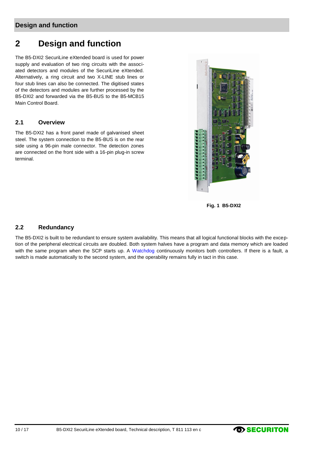# **Design and function**

# <span id="page-9-0"></span>**2 Design and function**

The B5-DXI2 SecuriLine eXtended board is used for power supply and evaluation of two ring circuits with the associated detectors and modules of the SecuriLine eXtended. Alternatively, a ring circuit and two X-LINE stub lines or four stub lines can also be connected. The digitised states of the detectors and modules are further processed by the B5-DXI2 and forwarded via the B5-BUS to the B5-MCB15 Main Control Board.

### <span id="page-9-1"></span>**2.1 Overview**

The B5-DXI2 has a front panel made of galvanised sheet steel. The system connection to the B5-BUS is on the rear side using a 96-pin male connector. The detection zones are connected on the front side with a 16-pin plug-in screw terminal.



**Fig. 1 B5-DXI2**

#### <span id="page-9-3"></span><span id="page-9-2"></span>**2.2 Redundancy**

The B5-DXI2 is built to be redundant to ensure system availability. This means that all logical functional blocks with the exception of the peripheral electrical circuits are doubled. Both system halves have a program and data memory which are loaded with the same program when the SCP starts up. A Watchdog continuously monitors both controllers. If there is a fault, a switch is made automatically to the second system, and the operability remains fully in tact in this case.

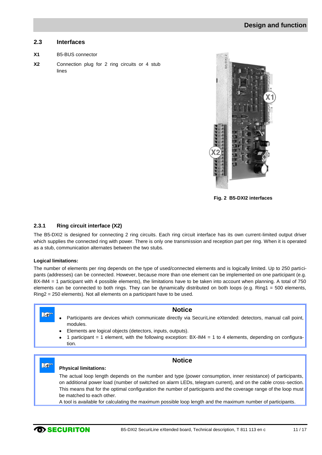#### <span id="page-10-1"></span>**2.3 Interfaces**

- **X1** B5-BUS connector
- **X2** Connection plug for 2 ring circuits or 4 stub lines



**Fig. 2 B5-DXI2 interfaces**

#### <span id="page-10-0"></span>**2.3.1 Ring circuit interface (X2)**

The B5-DXI2 is designed for connecting 2 ring circuits. Each ring circuit interface has its own current-limited output driver which supplies the connected ring with power. There is only one transmission and reception part per ring. When it is operated as a stub, communication alternates between the two stubs.

#### **Logical limitations:**

The number of elements per ring depends on the type of used/connected elements and is logically limited. Up to 250 participants (addresses) can be connected. However, because more than one element can be implemented on one participant (e.g. BX-IM4 = 1 participant with 4 possible elements), the limitations have to be taken into account when planning. A total of 750 elements can be connected to both rings. They can be dynamically distributed on both loops (e.g. Ring1 = 500 elements, Ring2 = 250 elements). Not all elements on a participant have to be used.

#### $\mathbb{L}$

**LO** 

#### <span id="page-10-2"></span>**Notice**

- Participants are devices which communicate directly via SecuriLine eXtended: detectors, manual call point, modules.
- Elements are logical objects (detectors, inputs, outputs).
- 1 participant = 1 element, with the following exception: BX-IM4 = 1 to 4 elements, depending on configuration.

### **Notice**

#### **Physical limitations:**

The actual loop length depends on the number and type (power consumption, inner resistance) of participants, on additional power load (number of switched on alarm LEDs, telegram current), and on the cable cross-section. This means that for the optimal configuration the number of participants and the coverage range of the loop must be matched to each other.

A tool is available for calculating the maximum possible loop length and the maximum number of participants.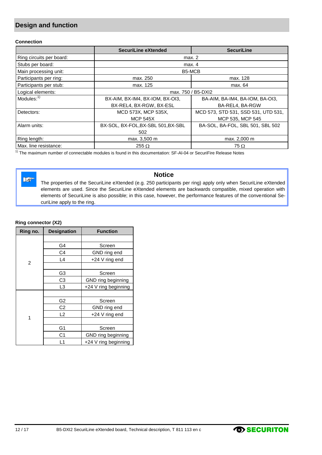# **Design and function**

#### **Connection**

|                          | SecuriLine eXtended                                        | <b>SecuriLine</b>                |  |
|--------------------------|------------------------------------------------------------|----------------------------------|--|
| Ring circuits per board: | max. 2                                                     |                                  |  |
| Stubs per board:         |                                                            | max. 4                           |  |
| Main processing unit:    |                                                            | B5-MCB                           |  |
| Participants per ring:   | max. 250                                                   | max. 128                         |  |
| Participants per stub:   | max. 125                                                   | max. 64                          |  |
| Logical elements:        | max. 750 / B5-DXI2                                         |                                  |  |
| Modules: $1$             | BX-AIM, BX-IM4, BX-IOM, BX-OI3,                            | BA-AIM, BA-IM4, BA-IOM, BA-OI3,  |  |
|                          | BX-REL4, BX-RGW, BX-ESL                                    | BA-REL4, BA-RGW                  |  |
| Detectors:               | MCD 573, STD 531, SSD 531, UTD 531,<br>MCD 573X, MCP 535X, |                                  |  |
|                          | <b>MCP 545X</b>                                            | MCP 535, MCP 545                 |  |
| Alarm units:             | BX-SOL, BX-FOL, BX-SBL 501, BX-SBL                         | BA-SOL, BA-FOL, SBL 501, SBL 502 |  |
|                          | 502                                                        |                                  |  |
| Ring length:             | max. 3,500 m                                               | max. 2,000 m                     |  |
| Max. line resistance:    | 255 $\Omega$<br>75 $\Omega$                                |                                  |  |

 $1)$  The maximum number of connectable modules is found in this documentation: SF-Al-04 or SecuriFire Release Notes

 $\mathbb{R}$ 

# **Notice**

The properties of the SecuriLine eXtended (e.g. 250 participants per ring) apply only when SecuriLine eXtended elements are used. Since the SecuriLine eXtended elements are backwards compatible, mixed operation with elements of SecuriLine is also possible; in this case, however, the performance features of the conventional SecuriLine apply to the ring.

#### **Ring connector (X2)**

| Ring no.       | <b>Designation</b> | <b>Function</b>      |
|----------------|--------------------|----------------------|
|                |                    |                      |
|                | G4                 | Screen               |
|                | C <sub>4</sub>     | GND ring end         |
| $\overline{c}$ | L4                 | +24 V ring end       |
|                |                    |                      |
|                | G3                 | Screen               |
|                | C <sub>3</sub>     | GND ring beginning   |
|                | L3                 | +24 V ring beginning |
|                |                    |                      |
|                | G2                 | Screen               |
|                | C <sub>2</sub>     | GND ring end         |
|                | L <sub>2</sub>     | +24 V ring end       |
| 1              |                    |                      |
|                | G <sub>1</sub>     | Screen               |
|                | C1                 | GND ring beginning   |
|                | L1                 | +24 V ring beginning |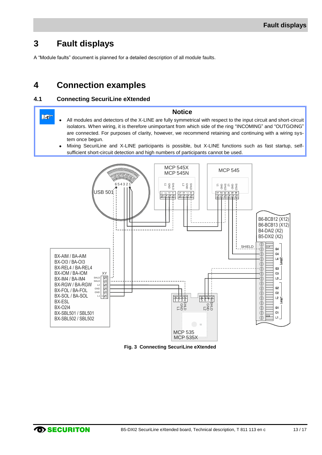# <span id="page-12-1"></span>**3 Fault displays**

A "Module faults" document is planned for a detailed description of all module faults.

# <span id="page-12-2"></span>**4 Connection examples**

### <span id="page-12-3"></span>**4.1 Connecting SecuriLine eXtended**

- **Notice**  $\mathbb{R}^n$ All modules and detectors of the X-LINE are fully symmetrical with respect to the input circuit and short-circuit isolators. When wiring, it is therefore unimportant from which side of the ring "INCOMING" and "OUTGOING" are connected. For purposes of clarity, however, we recommend retaining and continuing with a wiring system once begun.
	- Mixing SecuriLine and X-LINE participants is possible, but X-LINE functions such as fast startup, selfsufficient short-circuit detection and high numbers of participants cannot be used.



<span id="page-12-0"></span>**Fig. 3 Connecting SecuriLine eXtended**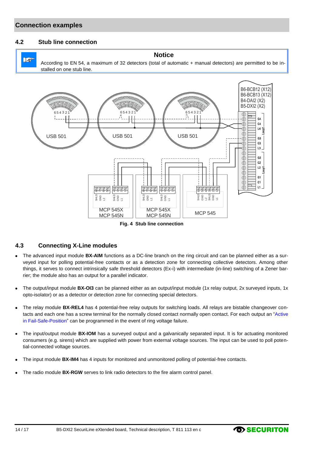### **Connection examples**

#### <span id="page-13-1"></span>**4.2 Stub line connection**



**Notice**

According to EN 54, a maximum of 32 detectors (total of automatic + manual detectors) are permitted to be installed on one stub line.



#### **Fig. 4 Stub line connection**

#### <span id="page-13-2"></span><span id="page-13-0"></span>**4.3 Connecting X-Line modules**

- The advanced input module **BX-AIM** functions as a DC-line branch on the ring circuit and can be planned either as a sur- $\bullet$ veyed input for polling potential-free contacts or as a detection zone for connecting collective detectors. Among other things, it serves to connect intrinsically safe threshold detectors (Ex-i) with intermediate (in-line) switching of a Zener barrier; the module also has an output for a parallel indicator.
- $\bullet$ The output/input module **BX-OI3** can be planned either as an output/input module (1x relay output, 2x surveyed inputs, 1x opto-isolator) or as a detector or detection zone for connecting special detectors.
- The relay module **BX-REL4** has 4 potential-free relay outputs for switching loads. All relays are bistable changeover con- $\bullet$ tacts and each one has a screw terminal for the normally closed contact normally open contact. For each output an "Active in Fail-Safe-Position" can be programmed in the event of ring voltage failure.
- The input/output module **BX-IOM** has a surveyed output and a galvanically separated input. It is for actuating monitored  $\bullet$ consumers (e.g. sirens) which are supplied with power from external voltage sources. The input can be used to poll potential-connected voltage sources.
- The input module **BX-IM4** has 4 inputs for monitored and unmonitored polling of potential-free contacts.  $\bullet$
- The radio module **BX-RGW** serves to link radio detectors to the fire alarm control panel.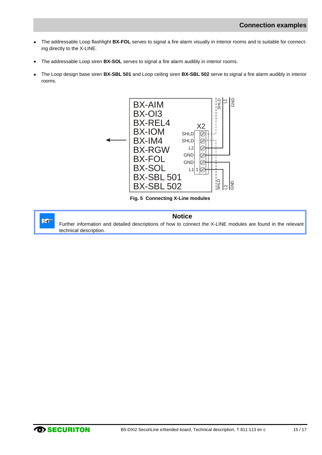- The addressable Loop flashlight **BX-FOL** serves to signal a fire alarm visually in interior rooms and is suitable for connect- $\bullet$ ing directly to the X-LINE.
- The addressable Loop siren **BX-SOL** serves to signal a fire alarm audibly in interior rooms.  $\bullet$
- The Loop design base siren **BX-SBL 501** and Loop ceiling siren **BX-SBL 502** serve to signal a fire alarm audibly in interior rooms.



**Fig. 5 Connecting X-Line modules**

<span id="page-14-0"></span>

#### **Notice**

Further information and detailed descriptions of how to connect the X-LINE modules are found in the relevant technical description.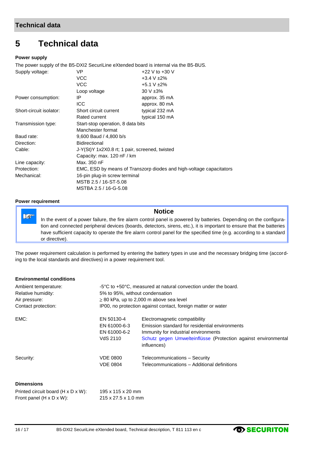# <span id="page-15-0"></span>**5 Technical data**

#### **Power supply**

The power supply of the B5-DXI2 SecuriLine eXtended board is internal via the B5-BUS.

| Supply voltage:         | VP                                                                  | +22 V to +30 V   |  |
|-------------------------|---------------------------------------------------------------------|------------------|--|
|                         | <b>VCC</b>                                                          | $+3.4 V \pm 2\%$ |  |
|                         | <b>VCC</b>                                                          | +5.1 V $\pm$ 2%  |  |
|                         | Loop voltage                                                        | $30 V \pm 3\%$   |  |
| Power consumption:      | IP                                                                  | approx. 35 mA    |  |
|                         | <b>ICC</b>                                                          | approx. 80 mA    |  |
| Short-circuit isolator: | Short circuit current                                               | typical 232 mA   |  |
|                         | Rated current                                                       | typical 150 mA   |  |
| Transmission type:      | Start-stop operation, 8 data bits                                   |                  |  |
|                         | Manchester format                                                   |                  |  |
| Baud rate:              | 9,600 Baud / 4,800 b/s                                              |                  |  |
| Direction:              | Bidirectional                                                       |                  |  |
| Cable:                  | J-Y(St)Y 1x2X0.8 rt; 1 pair, screened, twisted                      |                  |  |
|                         | Capacity: max. 120 nF / km                                          |                  |  |
| Line capacity:          | Max. 350 nF                                                         |                  |  |
| Protection:             | EMC, ESD by means of Transzorp diodes and high-voltage capacitators |                  |  |
| Mechanical:             | 16-pin plug-in screw terminal                                       |                  |  |
|                         | MSTB 2.5 / 16-ST-5.08                                               |                  |  |
|                         | MSTBA 2.5 / 16-G-5.08                                               |                  |  |

#### **Power requirement**

 $\mathbb{R}^n$ 

### **Notice**

In the event of a power failure, the fire alarm control panel is powered by batteries. Depending on the configuration and connected peripheral devices (boards, detectors, sirens, etc.), it is important to ensure that the batteries have sufficient capacity to operate the fire alarm control panel for the specified time (e.g. according to a standard or directive).

The power requirement calculation is performed by entering the battery types in use and the necessary bridging time (according to the local standards and directives) in a power requirement tool.

#### **Environmental conditions**

| Ambient temperature: | -5°C to +50°C, measured at natural convection under the board. |                                                                               |  |
|----------------------|----------------------------------------------------------------|-------------------------------------------------------------------------------|--|
| Relative humidity:   | 5% to 95%, without condensation                                |                                                                               |  |
| Air pressure:        | $\geq$ 80 kPa, up to 2,000 m above sea level                   |                                                                               |  |
| Contact protection:  | IP00, no protection against contact, foreign matter or water   |                                                                               |  |
| EMC:                 | EN 50130-4                                                     | Electromagnetic compatibility                                                 |  |
|                      | EN 61000-6-3                                                   | Emission standard for residential environments                                |  |
|                      | EN 61000-6-2                                                   | Immunity for industrial environments                                          |  |
|                      | VdS 2110                                                       | Schutz gegen Umwelteinflüsse (Protection against environmental<br>influences) |  |
| Security:            | <b>VDE 0800</b>                                                | Telecommunications - Security                                                 |  |
|                      | <b>VDE 0804</b>                                                | Telecommunications - Additional definitions                                   |  |
|                      |                                                                |                                                                               |  |

#### **Dimensions**

| Printed circuit board ( $H \times D \times W$ ): | 195 x 115 x 20 mm   |
|--------------------------------------------------|---------------------|
| Front panel $(H \times D \times W)$ :            | 215 x 27.5 x 1.0 mm |